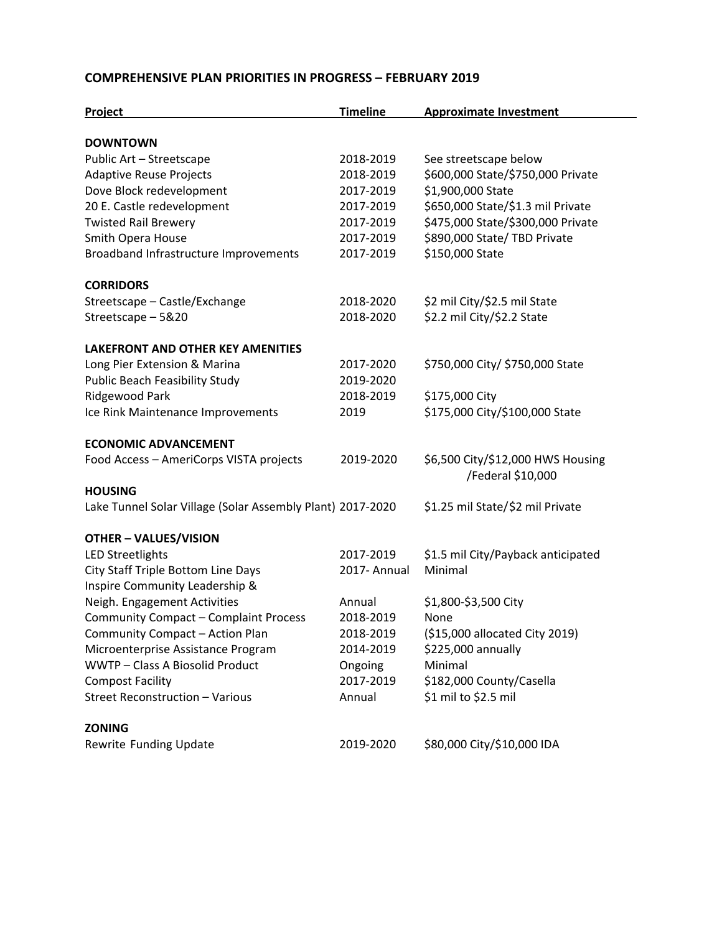### **COMPREHENSIVE PLAN PRIORITIES IN PROGRESS – FEBRUARY 2019**

| Project                                                    | <b>Timeline</b> | <b>Approximate Investment</b>      |
|------------------------------------------------------------|-----------------|------------------------------------|
|                                                            |                 |                                    |
| <b>DOWNTOWN</b><br>Public Art - Streetscape                | 2018-2019       | See streetscape below              |
| <b>Adaptive Reuse Projects</b>                             | 2018-2019       | \$600,000 State/\$750,000 Private  |
| Dove Block redevelopment                                   | 2017-2019       | \$1,900,000 State                  |
| 20 E. Castle redevelopment                                 | 2017-2019       | \$650,000 State/\$1.3 mil Private  |
| <b>Twisted Rail Brewery</b>                                | 2017-2019       | \$475,000 State/\$300,000 Private  |
| Smith Opera House                                          | 2017-2019       | \$890,000 State/ TBD Private       |
| Broadband Infrastructure Improvements                      | 2017-2019       | \$150,000 State                    |
|                                                            |                 |                                    |
| <b>CORRIDORS</b>                                           |                 |                                    |
| Streetscape - Castle/Exchange                              | 2018-2020       | \$2 mil City/\$2.5 mil State       |
| Streetscape - 5&20                                         | 2018-2020       | \$2.2 mil City/\$2.2 State         |
| <b>LAKEFRONT AND OTHER KEY AMENITIES</b>                   |                 |                                    |
| Long Pier Extension & Marina                               | 2017-2020       | \$750,000 City/ \$750,000 State    |
| <b>Public Beach Feasibility Study</b>                      | 2019-2020       |                                    |
| Ridgewood Park                                             | 2018-2019       | \$175,000 City                     |
| Ice Rink Maintenance Improvements                          | 2019            | \$175,000 City/\$100,000 State     |
|                                                            |                 |                                    |
| <b>ECONOMIC ADVANCEMENT</b>                                |                 |                                    |
| Food Access - AmeriCorps VISTA projects                    | 2019-2020       | \$6,500 City/\$12,000 HWS Housing  |
|                                                            |                 | /Federal \$10,000                  |
| <b>HOUSING</b>                                             |                 |                                    |
| Lake Tunnel Solar Village (Solar Assembly Plant) 2017-2020 |                 | \$1.25 mil State/\$2 mil Private   |
| <b>OTHER - VALUES/VISION</b>                               |                 |                                    |
| <b>LED Streetlights</b>                                    | 2017-2019       | \$1.5 mil City/Payback anticipated |
| City Staff Triple Bottom Line Days                         | 2017- Annual    | Minimal                            |
| Inspire Community Leadership &                             |                 |                                    |
| Neigh. Engagement Activities                               | Annual          | \$1,800-\$3,500 City               |
| <b>Community Compact - Complaint Process</b>               | 2018-2019       | None                               |
| Community Compact - Action Plan                            | 2018-2019       | (\$15,000 allocated City 2019)     |
| Microenterprise Assistance Program                         | 2014-2019       | \$225,000 annually                 |
| WWTP - Class A Biosolid Product                            | Ongoing         | Minimal                            |
| <b>Compost Facility</b>                                    | 2017-2019       | \$182,000 County/Casella           |
| Street Reconstruction - Various                            | Annual          | \$1 mil to \$2.5 mil               |
|                                                            |                 |                                    |
| <b>ZONING</b>                                              |                 |                                    |
| Rewrite Funding Update                                     | 2019-2020       | \$80,000 City/\$10,000 IDA         |